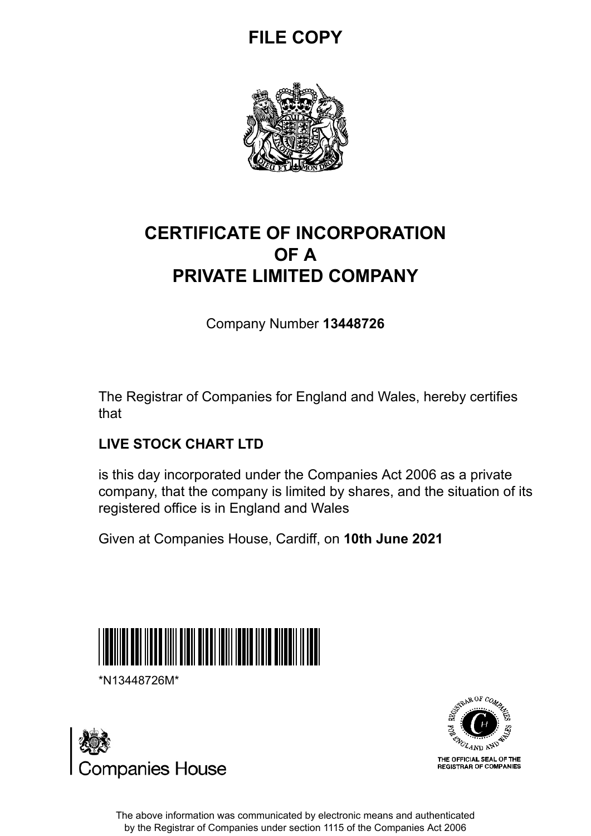## **FILE COPY**



## **CERTIFICATE OF INCORPORATION OF A PRIVATE LIMITED COMPANY**

Company Number **13448726**

The Registrar of Companies for England and Wales, hereby certifies that

### **LIVE STOCK CHART LTD**

is this day incorporated under the Companies Act 2006 as a private company, that the company is limited by shares, and the situation of its registered office is in England and Wales

Given at Companies House, Cardiff, on **10th June 2021**



\*N13448726M\*





The above information was communicated by electronic means and authenticated by the Registrar of Companies under section 1115 of the Companies Act 2006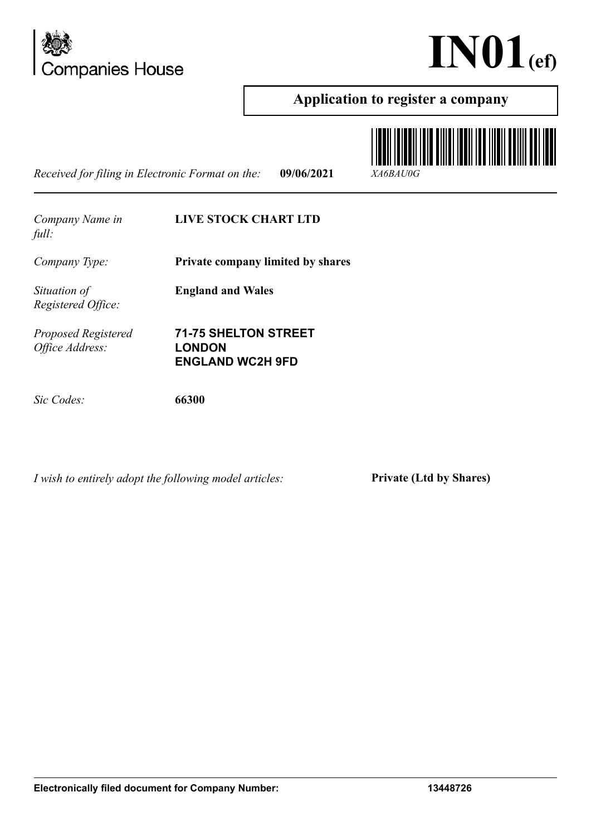



### **Application to register a company**

*Received for filing in Electronic Format on the:* **09/06/2021** *XA6BAU0G*



*Company Name in full:*

#### **LIVE STOCK CHART LTD**

*Company Type:* **Private company limited by shares**

*Situation of Registered Office:*

*Proposed Registered Office Address:*

**71-75 SHELTON STREET LONDON ENGLAND WC2H 9FD**

**England and Wales**

*Sic Codes:* **66300**

*I wish to entirely adopt the following model articles:* **Private (Ltd by Shares)**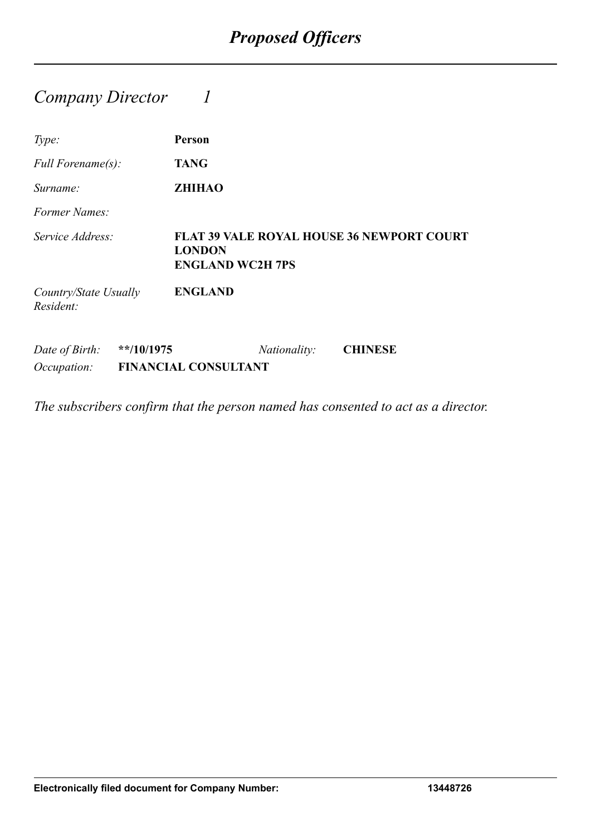### *Company Director 1*

| Type:                                |              | Person                                   |              |                                                  |
|--------------------------------------|--------------|------------------------------------------|--------------|--------------------------------------------------|
| Full Forename(s):                    |              | <b>TANG</b>                              |              |                                                  |
| Surname:                             |              | <b>ZHIHAO</b>                            |              |                                                  |
| Former Names:                        |              |                                          |              |                                                  |
| Service Address:                     |              | <b>LONDON</b><br><b>ENGLAND WC2H 7PS</b> |              | <b>FLAT 39 VALE ROYAL HOUSE 36 NEWPORT COURT</b> |
| Country/State Usually<br>Resident:   |              | <b>ENGLAND</b>                           |              |                                                  |
| Date of Birth:<br><i>Occupation:</i> | $**/10/1975$ | <b>FINANCIAL CONSULTANT</b>              | Nationality: | <b>CHINESE</b>                                   |

*The subscribers confirm that the person named has consented to act as a director.*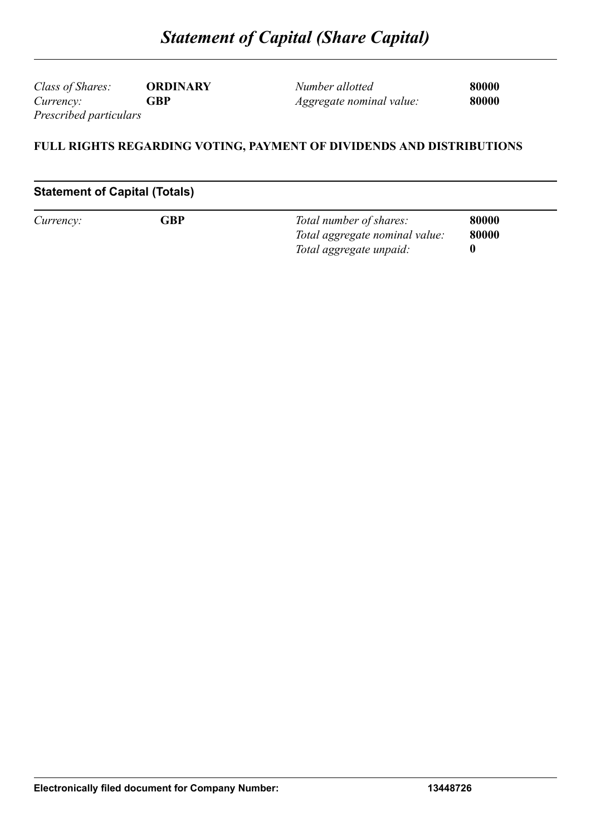*Class of Shares:* **ORDINARY** *Currency:* **GBP** *Prescribed particulars*

*Number allotted* **80000** *Aggregate nominal value:* **80000**

#### **FULL RIGHTS REGARDING VOTING, PAYMENT OF DIVIDENDS AND DISTRIBUTIONS**

#### **Statement of Capital (Totals)**

| Currency: | GBP | Total number of shares:        | 80000 |
|-----------|-----|--------------------------------|-------|
|           |     | Total aggregate nominal value: | 80000 |
|           |     | Total aggregate unpaid:        |       |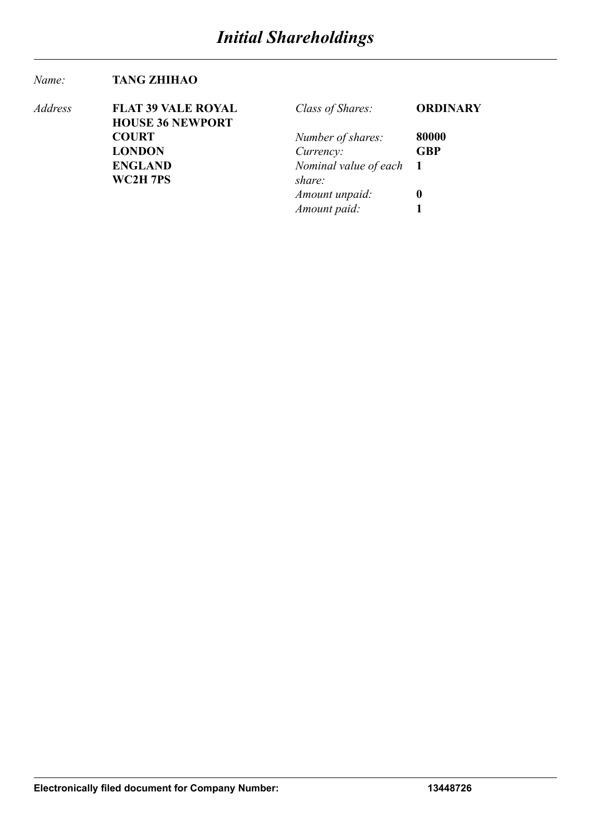#### *Name:* **TANG ZHIHAO**

| Address | <b>FLAT 39 VALE ROYAL</b> | Class of Shares:        | <b>ORDINARY</b> |
|---------|---------------------------|-------------------------|-----------------|
|         | <b>HOUSE 36 NEWPORT</b>   |                         |                 |
|         | <b>COURT</b>              | Number of shares:       | 80000           |
|         | <b>LONDON</b>             | Currency:               | <b>GBP</b>      |
|         | <b>ENGLAND</b>            | Nominal value of each 1 |                 |
|         | WC2H 7PS                  | share:                  |                 |
|         |                           | Amount unpaid:          | 0               |
|         |                           | Amount paid:            |                 |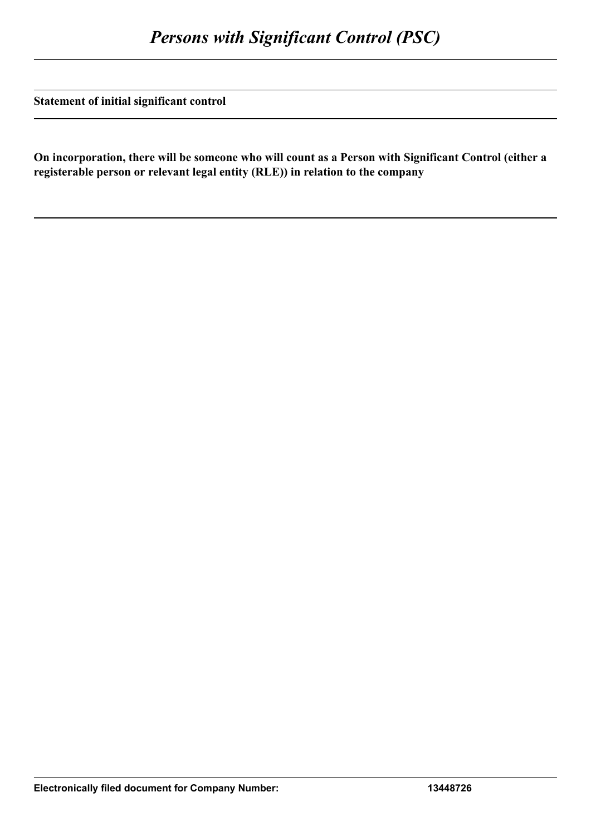**Statement of initial significant control**

**On incorporation, there will be someone who will count as a Person with Significant Control (either a registerable person or relevant legal entity (RLE)) in relation to the company**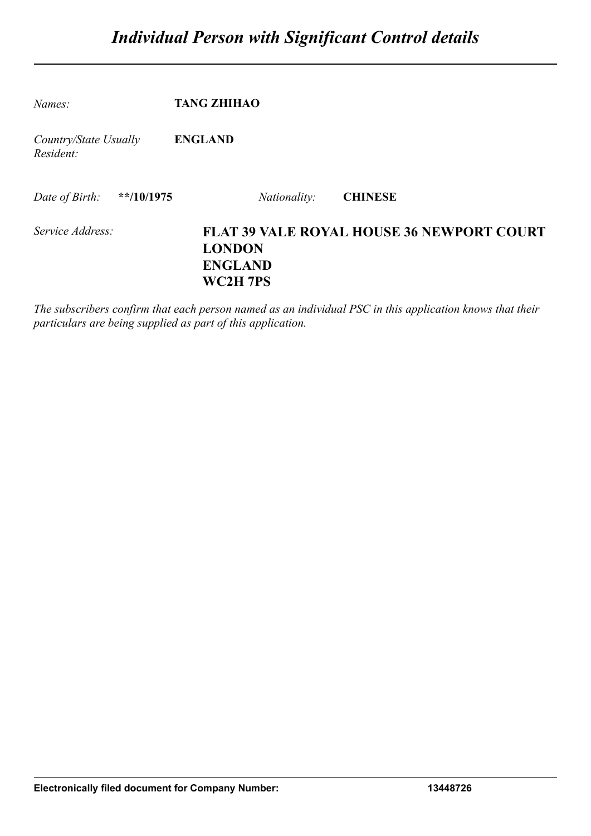| Names:                             | <b>TANG ZHIHAO</b>                                                                              |
|------------------------------------|-------------------------------------------------------------------------------------------------|
| Country/State Usually<br>Resident: | <b>ENGLAND</b>                                                                                  |
| $*$ $10/1975$<br>Date of Birth:    | <b>CHINESE</b><br><i>Nationality:</i>                                                           |
| Service Address:                   | <b>FLAT 39 VALE ROYAL HOUSE 36 NEWPORT COURT</b><br><b>LONDON</b><br><b>ENGLAND</b><br>WC2H 7PS |

*The subscribers confirm that each person named as an individual PSC in this application knows that their particulars are being supplied as part of this application.*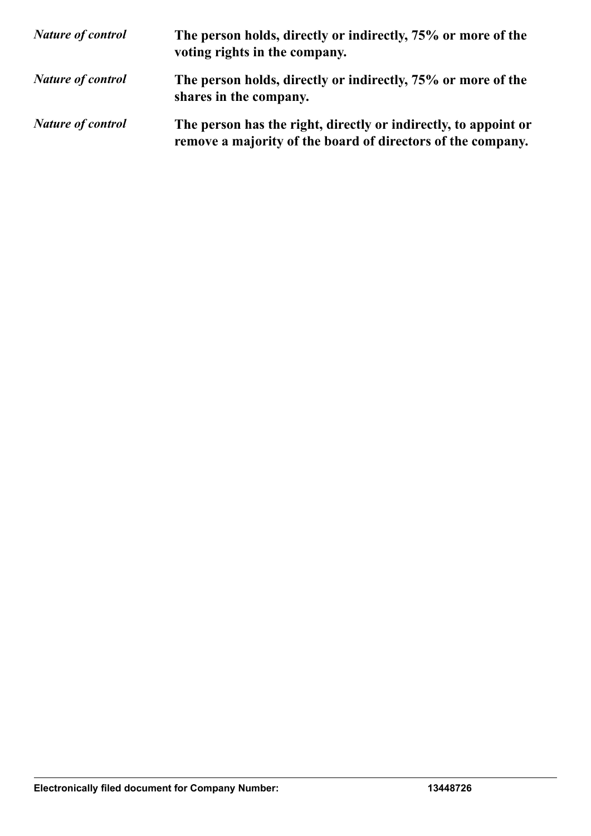| <b>Nature of control</b> | The person holds, directly or indirectly, 75% or more of the<br>voting rights in the company.                                  |
|--------------------------|--------------------------------------------------------------------------------------------------------------------------------|
| <b>Nature of control</b> | The person holds, directly or indirectly, 75% or more of the<br>shares in the company.                                         |
| <b>Nature of control</b> | The person has the right, directly or indirectly, to appoint or<br>remove a majority of the board of directors of the company. |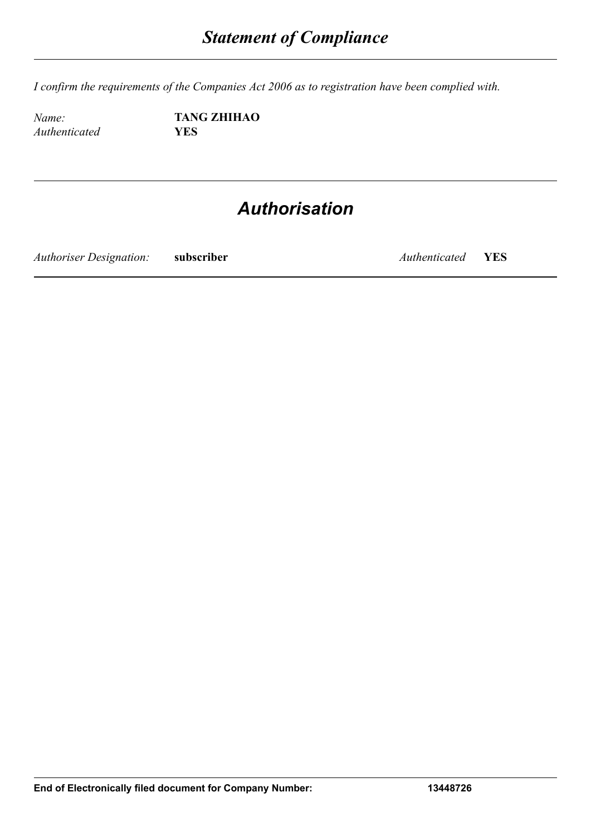*I confirm the requirements of the Companies Act 2006 as to registration have been complied with.*

*Authenticated* **YES**

*Name:* **TANG ZHIHAO**

## *Authorisation*

*Authoriser Designation:* **subscriber** *Authenticated* **YES**